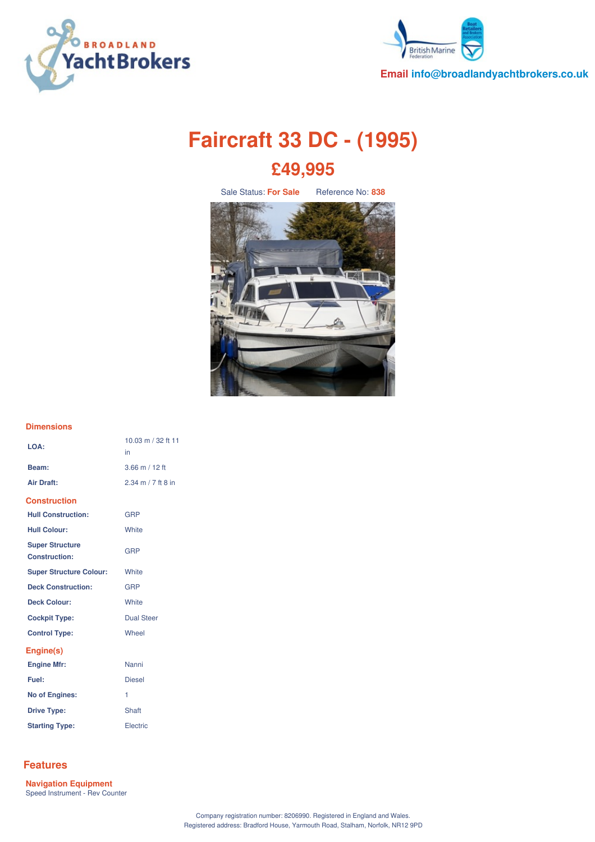



**Email info@broadlandyachtbrokers.co.uk**

# **Faircraft 33 DC - (1995) £49,995**

Sale Status: **For Sale** Reference No: **838**



## **Dimensions**

| LOA:                                           | 10.03 m / 32 ft 11<br>in     |
|------------------------------------------------|------------------------------|
| Beam:                                          | $3.66$ m / 12 ft             |
| <b>Air Draft:</b>                              | $2.34 \text{ m} / 7$ ft 8 in |
| <b>Construction</b>                            |                              |
| <b>Hull Construction:</b>                      | <b>GRP</b>                   |
| <b>Hull Colour:</b>                            | White                        |
| <b>Super Structure</b><br><b>Construction:</b> | <b>GRP</b>                   |
| <b>Super Structure Colour:</b>                 | White                        |
| <b>Deck Construction:</b>                      | <b>GRP</b>                   |
| <b>Deck Colour:</b>                            | White                        |
| <b>Cockpit Type:</b>                           | <b>Dual Steer</b>            |
| <b>Control Type:</b>                           | Wheel                        |
| Engine(s)                                      |                              |
| <b>Engine Mfr:</b>                             | Nanni                        |
| Fuel:                                          | <b>Diesel</b>                |
| <b>No of Engines:</b>                          | 1                            |
| <b>Drive Type:</b>                             | <b>Shaft</b>                 |
| <b>Starting Type:</b>                          | Electric                     |

# **Features**

**Navigation Equipment** Speed Instrument - Rev Counter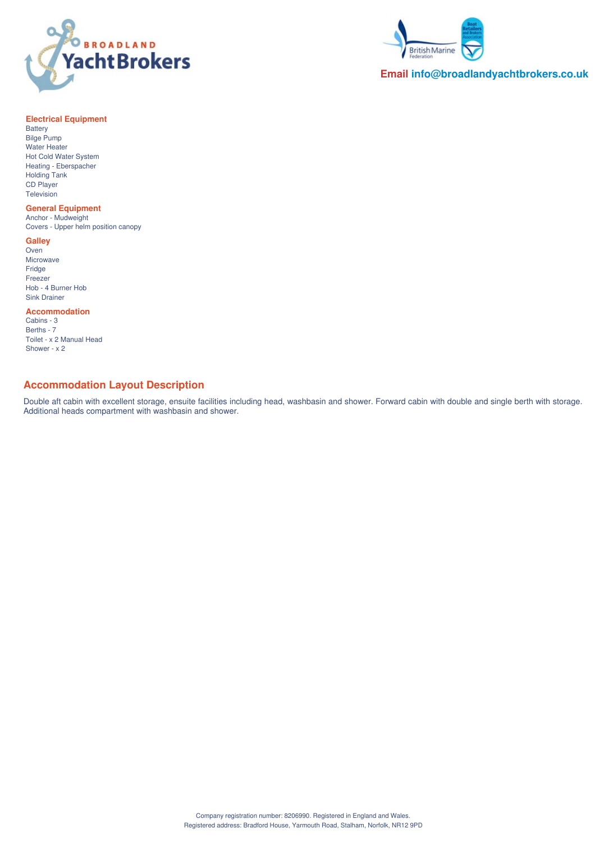



## **Email info@broadlandyachtbrokers.co.uk**

#### **Electrical Equipment**

**Battery** Bilge Pump Water Heater Hot Cold Water System Heating - Eberspacher Holding Tank CD Player **Television** 

### **General Equipment**

Anchor - Mudweight Covers - Upper helm position canopy

#### **Galley**

**Oven** Microwave Fridge **Freezer** Hob - 4 Burner Hob Sink Drainer

### **Accommodation**

Cabins - 3 Berths - 7 Toilet - x 2 Manual Head Shower - x 2

# **Accommodation Layout Description**

Double aft cabin with excellent storage, ensuite facilities including head, washbasin and shower. Forward cabin with double and single berth with storage. Additional heads compartment with washbasin and shower.